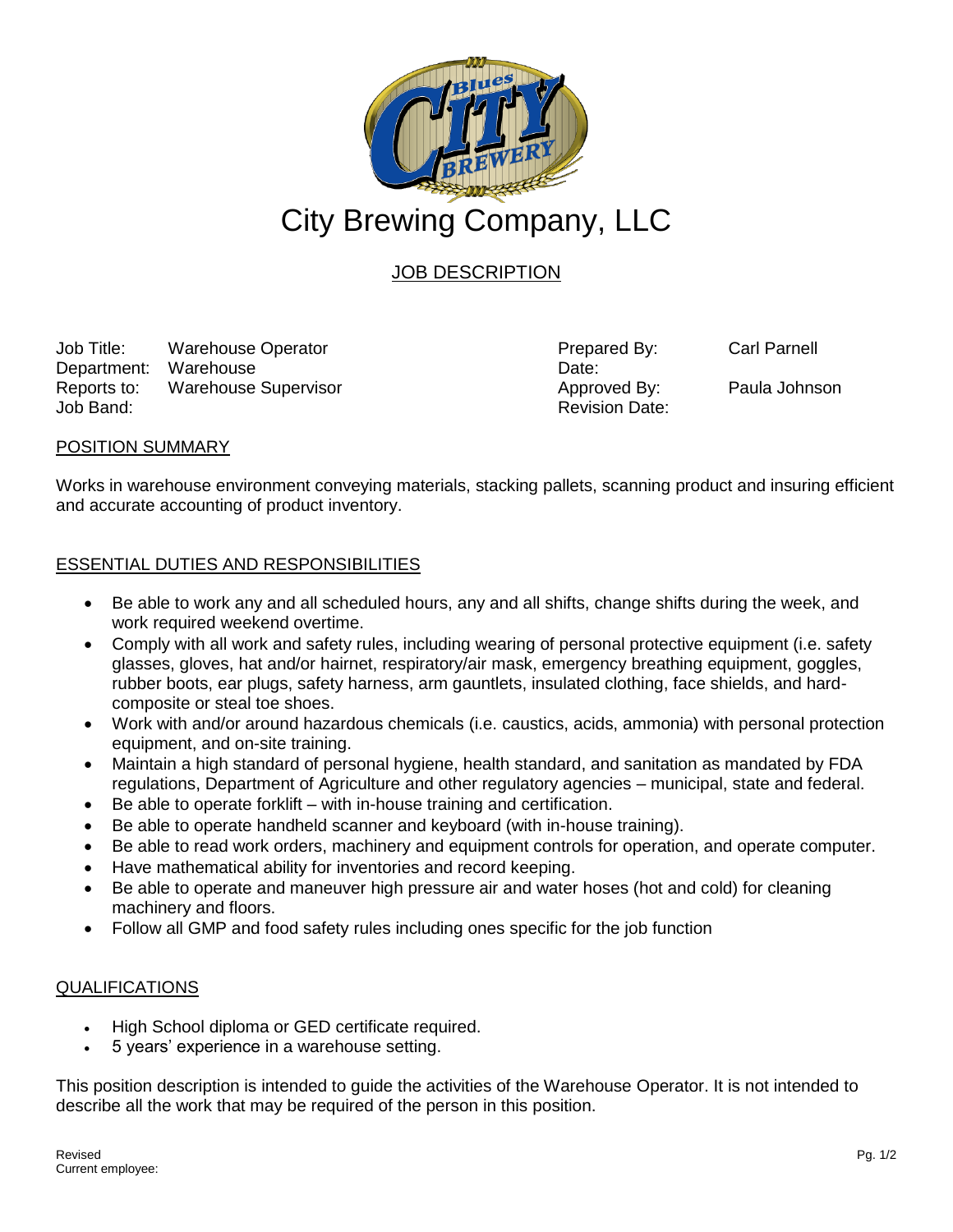

# JOB DESCRIPTION

Job Title: Warehouse Operator **Prepared By:** Carl Parnell Department: Warehouse Department: Warehouse Reports to: Warehouse Supervisor **Approved By:** Paula Johnson Job Band: Revision Date:

## POSITION SUMMARY

Works in warehouse environment conveying materials, stacking pallets, scanning product and insuring efficient and accurate accounting of product inventory.

# ESSENTIAL DUTIES AND RESPONSIBILITIES

- Be able to work any and all scheduled hours, any and all shifts, change shifts during the week, and work required weekend overtime.
- Comply with all work and safety rules, including wearing of personal protective equipment (i.e. safety glasses, gloves, hat and/or hairnet, respiratory/air mask, emergency breathing equipment, goggles, rubber boots, ear plugs, safety harness, arm gauntlets, insulated clothing, face shields, and hardcomposite or steal toe shoes.
- Work with and/or around hazardous chemicals (i.e. caustics, acids, ammonia) with personal protection equipment, and on-site training.
- Maintain a high standard of personal hygiene, health standard, and sanitation as mandated by FDA regulations, Department of Agriculture and other regulatory agencies – municipal, state and federal.
- Be able to operate forklift with in-house training and certification.
- Be able to operate handheld scanner and keyboard (with in-house training).
- Be able to read work orders, machinery and equipment controls for operation, and operate computer.
- Have mathematical ability for inventories and record keeping.
- Be able to operate and maneuver high pressure air and water hoses (hot and cold) for cleaning machinery and floors.
- Follow all GMP and food safety rules including ones specific for the job function

#### QUALIFICATIONS

- High School diploma or GED certificate required.
- 5 years' experience in a warehouse setting.

This position description is intended to guide the activities of the Warehouse Operator. It is not intended to describe all the work that may be required of the person in this position.